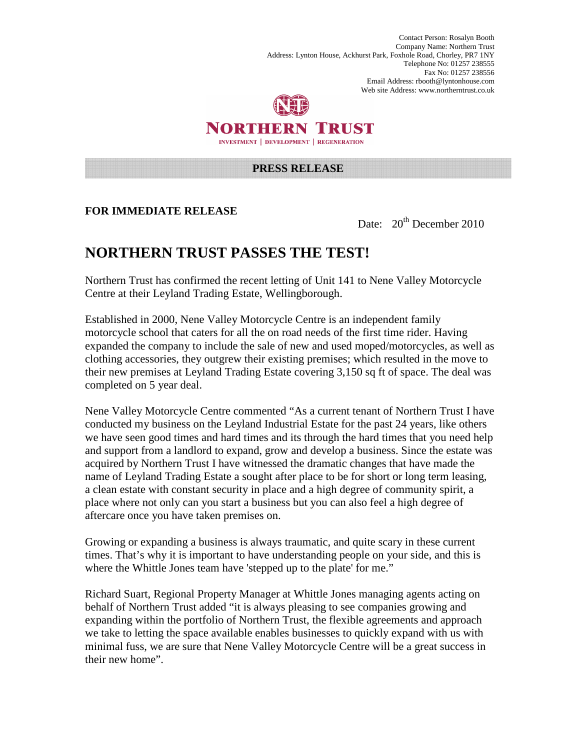Contact Person: Rosalyn Booth Company Name: Northern Trust Address: Lynton House, Ackhurst Park, Foxhole Road, Chorley, PR7 1NY Telephone No: 01257 238555 Fax No: 01257 238556 Email Address: rbooth@lyntonhouse.com Web site Address: www.northerntrust.co.uk



NORTHERN TRUST **INVESTMENT | DEVELOPMENT | REGENERATION** 

## **PRESS RELEASE**

## **FOR IMMEDIATE RELEASE**

Date: 20<sup>th</sup> December 2010

## **NORTHERN TRUST PASSES THE TEST!**

Northern Trust has confirmed the recent letting of Unit 141 to Nene Valley Motorcycle Centre at their Leyland Trading Estate, Wellingborough.

Established in 2000, Nene Valley Motorcycle Centre is an independent family motorcycle school that caters for all the on road needs of the first time rider. Having expanded the company to include the sale of new and used moped/motorcycles, as well as clothing accessories, they outgrew their existing premises; which resulted in the move to their new premises at Leyland Trading Estate covering 3,150 sq ft of space. The deal was completed on 5 year deal.

Nene Valley Motorcycle Centre commented "As a current tenant of Northern Trust I have conducted my business on the Leyland Industrial Estate for the past 24 years, like others we have seen good times and hard times and its through the hard times that you need help and support from a landlord to expand, grow and develop a business. Since the estate was acquired by Northern Trust I have witnessed the dramatic changes that have made the name of Leyland Trading Estate a sought after place to be for short or long term leasing, a clean estate with constant security in place and a high degree of community spirit, a place where not only can you start a business but you can also feel a high degree of aftercare once you have taken premises on.

Growing or expanding a business is always traumatic, and quite scary in these current times. That's why it is important to have understanding people on your side, and this is where the Whittle Jones team have 'stepped up to the plate' for me."

Richard Suart, Regional Property Manager at Whittle Jones managing agents acting on behalf of Northern Trust added "it is always pleasing to see companies growing and expanding within the portfolio of Northern Trust, the flexible agreements and approach we take to letting the space available enables businesses to quickly expand with us with minimal fuss, we are sure that Nene Valley Motorcycle Centre will be a great success in their new home".